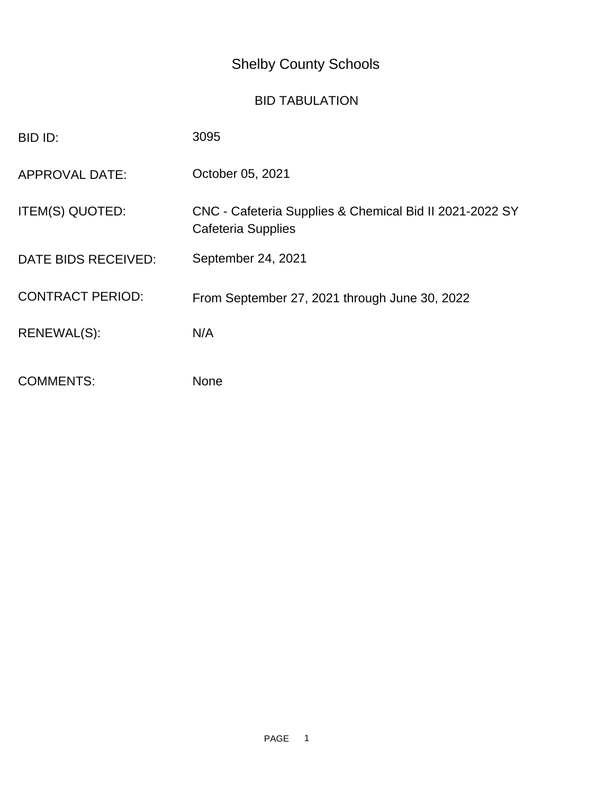# Shelby County Schools

## BID TABULATION

| BID ID:                 | 3095                                                                                 |
|-------------------------|--------------------------------------------------------------------------------------|
| <b>APPROVAL DATE:</b>   | October 05, 2021                                                                     |
| ITEM(S) QUOTED:         | CNC - Cafeteria Supplies & Chemical Bid II 2021-2022 SY<br><b>Cafeteria Supplies</b> |
| DATE BIDS RECEIVED:     | September 24, 2021                                                                   |
| <b>CONTRACT PERIOD:</b> | From September 27, 2021 through June 30, 2022                                        |
| RENEWAL(S):             | N/A                                                                                  |
| <b>COMMENTS:</b>        | <b>None</b>                                                                          |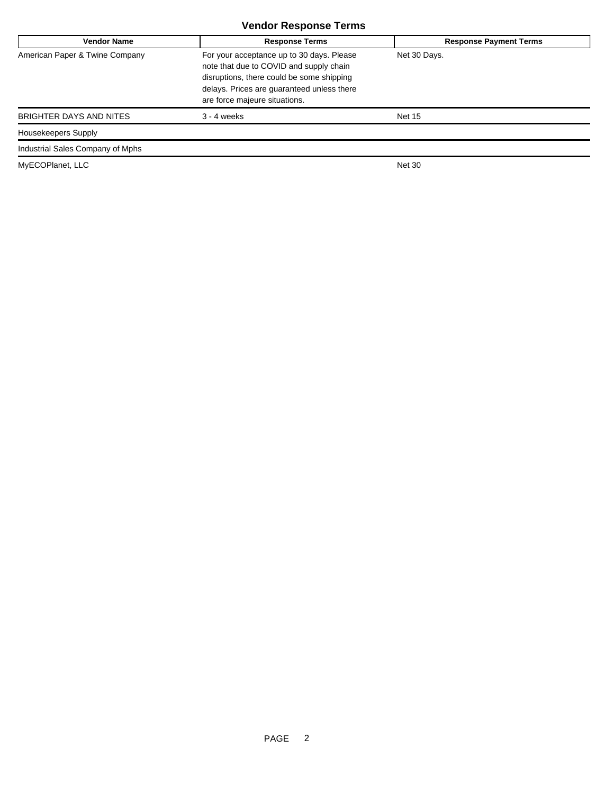### **Vendor Response Terms**

| <b>Vendor Name</b>               | <b>Response Terms</b>                                                                                                                                                                                            | <b>Response Payment Terms</b> |
|----------------------------------|------------------------------------------------------------------------------------------------------------------------------------------------------------------------------------------------------------------|-------------------------------|
| American Paper & Twine Company   | For your acceptance up to 30 days. Please<br>note that due to COVID and supply chain<br>disruptions, there could be some shipping<br>delays. Prices are guaranteed unless there<br>are force majeure situations. | Net 30 Days.                  |
| BRIGHTER DAYS AND NITES          | $3 - 4$ weeks                                                                                                                                                                                                    | <b>Net 15</b>                 |
| Housekeepers Supply              |                                                                                                                                                                                                                  |                               |
| Industrial Sales Company of Mphs |                                                                                                                                                                                                                  |                               |

MyECOPlanet, LLC Net 30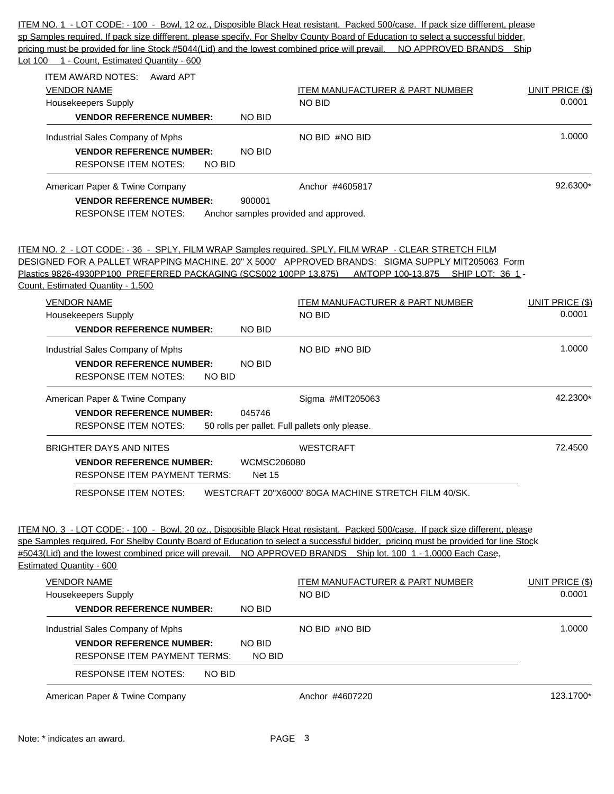sp Samples required. If pack size diffferent, please specify. For Shelby County Board of Education to select a successful bidder, pricing must be provided for line Stock #5044(Lid) and the lowest combined price will prevail. NO APPROVED BRANDS Ship Lot 100 1 - Count, Estimated Quantity - 600 ITEM AWARD NOTES: Award APT VENDOR NAME UNIT PRICE (\$) VENDOR NAME ITEM MANUFACTURER & PART NUMBER UNIT PRICE (\$) Housekeepers Supply NO BID 0.0001 **VENDOR REFERENCE NUMBER:** NO BID Industrial Sales Company of Mphs  $NQ$  BID #NO BID 1.0000 1.0000 **VENDOR REFERENCE NUMBER:** NO BID RESPONSE ITEM NOTES: NO BID American Paper & Twine Company Network Company Anchor #4605817 Anchor #4605817 **VENDOR REFERENCE NUMBER:** 900001 RESPONSE ITEM NOTES: Anchor samples provided and approved. ITEM NO. 2 - LOT CODE: - 36 - SPLY, FILM WRAP Samples required. SPLY, FILM WRAP - CLEAR STRETCH FILM DESIGNED FOR A PALLET WRAPPING MACHINE. 20" X 5000' APPROVED BRANDS: SIGMA SUPPLY MIT205063 Form Plastics 9826-4930PP100 PREFERRED PACKAGING (SCS002 100PP 13.875) AMTOPP 100-13.875 SHIP LOT: 36 1 - Count, Estimated Quantity - 1,500 VENDOR NAME ITEM MANUFACTURER & PART NUMBER UNIT PRICE (\$) Housekeepers Supply NO BID 0.0001 **VENDOR REFERENCE NUMBER:** NO BID Industrial Sales Company of Mphs Now the Company of Mphs NO BID #NO BID 1.0000 1.0000 **VENDOR REFERENCE NUMBER:** NO BID RESPONSE ITEM NOTES: NO BID American Paper & Twine Company **Sigma #MIT205063** American Paper & Twine Company At 2.2300\* **VENDOR REFERENCE NUMBER:** 045746 RESPONSE ITEM NOTES: 50 rolls per pallet. Full pallets only please. BRIGHTER DAYS AND NITES WESTCRAFT WESTCRAFT 2.4500 **VENDOR REFERENCE NUMBER:** WCMSC206080 RESPONSE ITEM PAYMENT TERMS: Net 15 RESPONSE ITEM NOTES: WESTCRAFT 20"X6000' 80GA MACHINE STRETCH FILM 40/SK. ITEM NO. 3 - LOT CODE: - 100 - Bowl, 20 oz., Disposible Black Heat resistant. Packed 500/case. If pack size different, please spe Samples required. For Shelby County Board of Education to select a successful bidder, pricing must be provided for line Stock #5043(Lid) and the lowest combined price will prevail. NO APPROVED BRANDS Ship lot. 100 1 - 1.0000 Each Case, Estimated Quantity - 600 VENDOR NAME ITEM MANUFACTURER & PART NUMBER UNIT PRICE (\$) Housekeepers Supply NO BID 0.0001 **VENDOR REFERENCE NUMBER:** NO BID Industrial Sales Company of Mphs  $NO$  BID #NO BID  $NO$  BID 1.0000 **VENDOR REFERENCE NUMBER:** NO BID RESPONSE ITEM PAYMENT TERMS: NO BID RESPONSE ITEM NOTES: NO BID American Paper & Twine Company **Anchor #4607220** Anchor #4607220 123.1700\*

ITEM NO. 1 - LOT CODE: - 100 - Bowl, 12 oz., Disposible Black Heat resistant. Packed 500/case. If pack size diffferent, please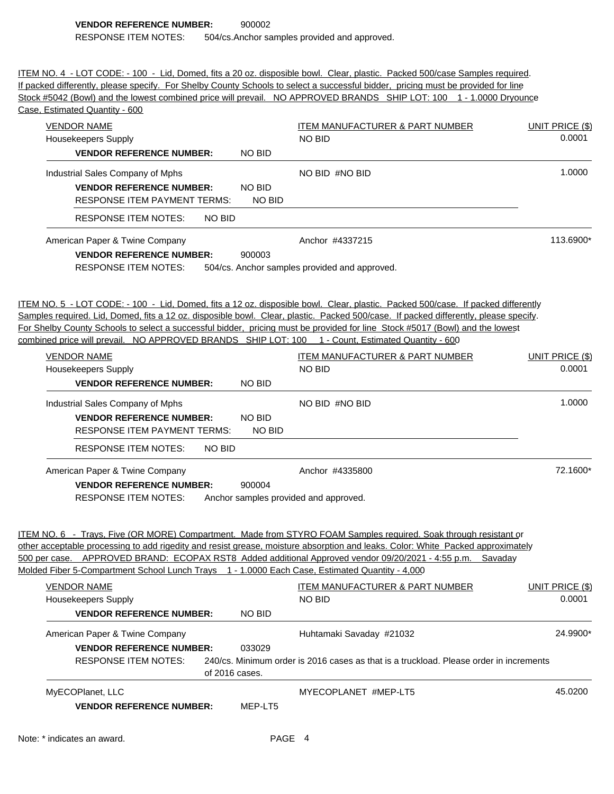ITEM NO. 4 - LOT CODE: - 100 - Lid, Domed, fits a 20 oz. disposible bowl. Clear, plastic. Packed 500/case Samples required. If packed differently, please specify. For Shelby County Schools to select a successful bidder, pricing must be provided for line Stock #5042 (Bowl) and the lowest combined price will prevail. NO APPROVED BRANDS SHIP LOT: 100 1 - 1.0000 Dryounce

| Case, Estimated Quantity - 600                                                                    |                                |                                                                                                                                                                                                                                                                                                                                                                                                          |                        |
|---------------------------------------------------------------------------------------------------|--------------------------------|----------------------------------------------------------------------------------------------------------------------------------------------------------------------------------------------------------------------------------------------------------------------------------------------------------------------------------------------------------------------------------------------------------|------------------------|
| <b>VENDOR NAME</b>                                                                                |                                | <b>ITEM MANUFACTURER &amp; PART NUMBER</b>                                                                                                                                                                                                                                                                                                                                                               | <b>UNIT PRICE (\$)</b> |
| Housekeepers Supply                                                                               |                                | <b>NO BID</b>                                                                                                                                                                                                                                                                                                                                                                                            | 0.0001                 |
| <b>VENDOR REFERENCE NUMBER:</b>                                                                   | NO BID                         |                                                                                                                                                                                                                                                                                                                                                                                                          |                        |
| Industrial Sales Company of Mphs                                                                  |                                | NO BID #NO BID                                                                                                                                                                                                                                                                                                                                                                                           | 1.0000                 |
| <b>VENDOR REFERENCE NUMBER:</b><br><b>RESPONSE ITEM PAYMENT TERMS:</b>                            | <b>NO BID</b><br><b>NO BID</b> |                                                                                                                                                                                                                                                                                                                                                                                                          |                        |
| <b>RESPONSE ITEM NOTES:</b><br>NO BID                                                             |                                |                                                                                                                                                                                                                                                                                                                                                                                                          |                        |
| American Paper & Twine Company<br><b>VENDOR REFERENCE NUMBER:</b><br><b>RESPONSE ITEM NOTES:</b>  | 900003                         | Anchor #4337215<br>504/cs. Anchor samples provided and approved.                                                                                                                                                                                                                                                                                                                                         | 113.6900*              |
| combined price will prevail. NO APPROVED BRANDS SHIP LOT: 100 1 - Count, Estimated Quantity - 600 |                                | ITEM NO. 5 - LOT CODE: - 100 - Lid, Domed, fits a 12 oz. disposible bowl. Clear, plastic. Packed 500/case. If packed differently<br>Samples required. Lid, Domed, fits a 12 oz. disposible bowl. Clear, plastic. Packed 500/case. If packed differently, please specify.<br>For Shelby County Schools to select a successful bidder, pricing must be provided for line Stock #5017 (Bowl) and the lowest |                        |
| <b>VENDOR NAME</b>                                                                                |                                | <b>ITEM MANUFACTURER &amp; PART NUMBER</b>                                                                                                                                                                                                                                                                                                                                                               | <b>UNIT PRICE (\$)</b> |
| Housekeepers Supply                                                                               |                                | <b>NO BID</b>                                                                                                                                                                                                                                                                                                                                                                                            | 0.0001                 |
| <b>VENDOR REFERENCE NUMBER:</b>                                                                   | NO BID                         |                                                                                                                                                                                                                                                                                                                                                                                                          |                        |
| Industrial Sales Company of Mphs                                                                  |                                | NO BID #NO BID                                                                                                                                                                                                                                                                                                                                                                                           | 1.0000                 |
| <b>VENDOR REFERENCE NUMBER:</b><br><b>RESPONSE ITEM PAYMENT TERMS:</b>                            | <b>NO BID</b><br><b>NO BID</b> |                                                                                                                                                                                                                                                                                                                                                                                                          |                        |
| <b>RESPONSE ITEM NOTES:</b><br>NO BID                                                             |                                |                                                                                                                                                                                                                                                                                                                                                                                                          |                        |
| American Paper & Twine Company                                                                    |                                | Anchor #4335800                                                                                                                                                                                                                                                                                                                                                                                          | 72.1600*               |
| <b>VENDOR REFERENCE NUMBER:</b><br><b>RESPONSE ITEM NOTES:</b>                                    | 900004                         | Anchor samples provided and approved.                                                                                                                                                                                                                                                                                                                                                                    |                        |
| Molded Fiber 5-Compartment School Lunch Trays 1 - 1.0000 Each Case, Estimated Quantity - 4,000    |                                | ITEM NO. 6 - Trays, Five (OR MORE) Compartment. Made from STYRO FOAM Samples required. Soak through resistant or<br>other acceptable processing to add rigedity and resist grease, moisture absorption and leaks. Color: White Packed approximately<br>500 per case. APPROVED BRAND: ECOPAX RST8 Added additional Approved vendor 09/20/2021 - 4:55 p.m. Savaday                                         |                        |
| <b>VENDOR NAME</b>                                                                                |                                | ITEM MANUFACTURER & PART NUMBER                                                                                                                                                                                                                                                                                                                                                                          | <b>UNIT PRICE (\$)</b> |
| Housekeepers Supply                                                                               |                                | <b>NO BID</b>                                                                                                                                                                                                                                                                                                                                                                                            | 0.0001                 |
| <b>VENDOR REFERENCE NUMBER:</b>                                                                   | NO BID                         |                                                                                                                                                                                                                                                                                                                                                                                                          |                        |
| American Paper & Twine Company                                                                    |                                | Huhtamaki Savaday #21032                                                                                                                                                                                                                                                                                                                                                                                 | 24.9900*               |
| <b>VENDOR REFERENCE NUMBER:</b>                                                                   | 033029                         |                                                                                                                                                                                                                                                                                                                                                                                                          |                        |
| <b>RESPONSE ITEM NOTES:</b>                                                                       | of 2016 cases.                 | 240/cs. Minimum order is 2016 cases as that is a truckload. Please order in increments                                                                                                                                                                                                                                                                                                                   |                        |
| MyECOPlanet, LLC                                                                                  |                                | MYECOPLANET #MEP-LT5                                                                                                                                                                                                                                                                                                                                                                                     | 45.0200                |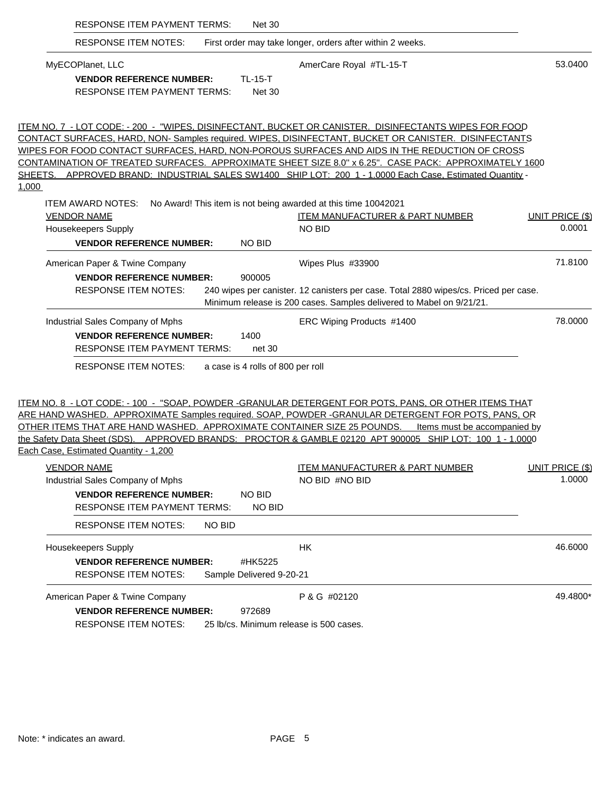| <b>RESPONSE ITEM PAYMENT TERMS:</b>                                                                                     | <b>Net 30</b>                                                                                                                                                                                                                                                                                                                                                                                                                                                                                                                                                     |                              |
|-------------------------------------------------------------------------------------------------------------------------|-------------------------------------------------------------------------------------------------------------------------------------------------------------------------------------------------------------------------------------------------------------------------------------------------------------------------------------------------------------------------------------------------------------------------------------------------------------------------------------------------------------------------------------------------------------------|------------------------------|
| <b>RESPONSE ITEM NOTES:</b>                                                                                             | First order may take longer, orders after within 2 weeks.                                                                                                                                                                                                                                                                                                                                                                                                                                                                                                         |                              |
| MyECOPlanet, LLC                                                                                                        | AmerCare Royal #TL-15-T                                                                                                                                                                                                                                                                                                                                                                                                                                                                                                                                           | 53.0400                      |
| <b>VENDOR REFERENCE NUMBER:</b><br><b>RESPONSE ITEM PAYMENT TERMS:</b>                                                  | <b>TL-15-T</b><br><b>Net 30</b>                                                                                                                                                                                                                                                                                                                                                                                                                                                                                                                                   |                              |
|                                                                                                                         | <u> ITEM NO. 7  - LOT CODE: - 200  -  "WIPES, DISINFECTANT, BUCKET OR CANISTER.  DISINFECTANTS WIPES FOR FOOD</u><br>CONTACT SURFACES, HARD, NON-Samples required. WIPES, DISINFECTANT, BUCKET OR CANISTER. DISINFECTANTS<br><u>WIPES FOR FOOD CONTACT SURFACES, HARD, NON-POROUS SURFACES AND AIDS IN THE REDUCTION OF CROSS</u><br><u>CONTAMINATION OF TREATED SURFACES.  APPROXIMATE SHEET SIZE 8.0" x 6.25".  CASE PACK:  APPROXIMATELY 160</u> 0<br>SHEETS. APPROVED BRAND: INDUSTRIAL SALES SW1400 SHIP LOT: 200 1 - 1.0000 Each Case, Estimated Quantity - |                              |
| 1,000                                                                                                                   |                                                                                                                                                                                                                                                                                                                                                                                                                                                                                                                                                                   |                              |
| <b>VENDOR NAME</b>                                                                                                      | ITEM AWARD NOTES: No Award! This item is not being awarded at this time 10042021<br><b>ITEM MANUFACTURER &amp; PART NUMBER</b>                                                                                                                                                                                                                                                                                                                                                                                                                                    | <b>UNIT PRICE (\$)</b>       |
| Housekeepers Supply                                                                                                     | <b>NO BID</b>                                                                                                                                                                                                                                                                                                                                                                                                                                                                                                                                                     | 0.0001                       |
| <b>VENDOR REFERENCE NUMBER:</b>                                                                                         | <b>NO BID</b>                                                                                                                                                                                                                                                                                                                                                                                                                                                                                                                                                     |                              |
| American Paper & Twine Company                                                                                          | Wipes Plus #33900                                                                                                                                                                                                                                                                                                                                                                                                                                                                                                                                                 | 71.8100                      |
| <b>VENDOR REFERENCE NUMBER:</b>                                                                                         | 900005                                                                                                                                                                                                                                                                                                                                                                                                                                                                                                                                                            |                              |
| <b>RESPONSE ITEM NOTES:</b>                                                                                             | 240 wipes per canister. 12 canisters per case. Total 2880 wipes/cs. Priced per case.<br>Minimum release is 200 cases. Samples delivered to Mabel on 9/21/21.                                                                                                                                                                                                                                                                                                                                                                                                      |                              |
| Industrial Sales Company of Mphs                                                                                        | ERC Wiping Products #1400                                                                                                                                                                                                                                                                                                                                                                                                                                                                                                                                         | 78.0000                      |
| <b>VENDOR REFERENCE NUMBER:</b>                                                                                         | 1400                                                                                                                                                                                                                                                                                                                                                                                                                                                                                                                                                              |                              |
| <b>RESPONSE ITEM PAYMENT TERMS:</b>                                                                                     | net 30                                                                                                                                                                                                                                                                                                                                                                                                                                                                                                                                                            |                              |
| <b>RESPONSE ITEM NOTES:</b>                                                                                             | a case is 4 rolls of 800 per roll                                                                                                                                                                                                                                                                                                                                                                                                                                                                                                                                 |                              |
| <u>OTHER ITEMS THAT ARE HAND WASHED. APPROXIMATE CONTAINER SIZE 25 POUNDS.</u><br>Each Case, Estimated Quantity - 1,200 | <u> ITEM NO. 8 - LOT CODE: - 100 - "SOAP, POWDER -GRANULAR DETERGENT FOR POTS, PANS, OR OTHER ITEMS THAT</u><br><u>ARE HAND WASHED.  APPROXIMATE Samples required. SOAP, POWDER -GRANULAR DETERGENT FOR POTS, PANS, OR</u><br>the Safety Data Sheet (SDS). APPROVED BRANDS: PROCTOR & GAMBLE 02120 APT 900005 SHIP LOT: 100 1 - 1.0000                                                                                                                                                                                                                            | Items must be accompanied by |
| <b>VENDOR NAME</b>                                                                                                      | <b>ITEM MANUFACTURER &amp; PART NUMBER</b>                                                                                                                                                                                                                                                                                                                                                                                                                                                                                                                        | <b>UNIT PRICE (\$)</b>       |
| Industrial Sales Company of Mphs                                                                                        | NO BID #NO BID                                                                                                                                                                                                                                                                                                                                                                                                                                                                                                                                                    | 1.0000                       |
| <b>VENDOR REFERENCE NUMBER:</b><br><b>RESPONSE ITEM PAYMENT TERMS:</b>                                                  | <b>NO BID</b><br>NO BID                                                                                                                                                                                                                                                                                                                                                                                                                                                                                                                                           |                              |
| <b>RESPONSE ITEM NOTES:</b>                                                                                             | NO BID                                                                                                                                                                                                                                                                                                                                                                                                                                                                                                                                                            |                              |
| <b>Housekeepers Supply</b>                                                                                              | HK                                                                                                                                                                                                                                                                                                                                                                                                                                                                                                                                                                | 46.6000                      |
| <b>VENDOR REFERENCE NUMBER:</b>                                                                                         | #HK5225                                                                                                                                                                                                                                                                                                                                                                                                                                                                                                                                                           |                              |
| <b>RESPONSE ITEM NOTES:</b>                                                                                             | Sample Delivered 9-20-21                                                                                                                                                                                                                                                                                                                                                                                                                                                                                                                                          |                              |
| American Paper & Twine Company                                                                                          | P & G #02120                                                                                                                                                                                                                                                                                                                                                                                                                                                                                                                                                      | 49.4800*                     |
| <b>VENDOR REFERENCE NUMBER:</b>                                                                                         | 972689                                                                                                                                                                                                                                                                                                                                                                                                                                                                                                                                                            |                              |
|                                                                                                                         |                                                                                                                                                                                                                                                                                                                                                                                                                                                                                                                                                                   |                              |

RESPONSE ITEM NOTES: 25 lb/cs. Minimum release is 500 cases.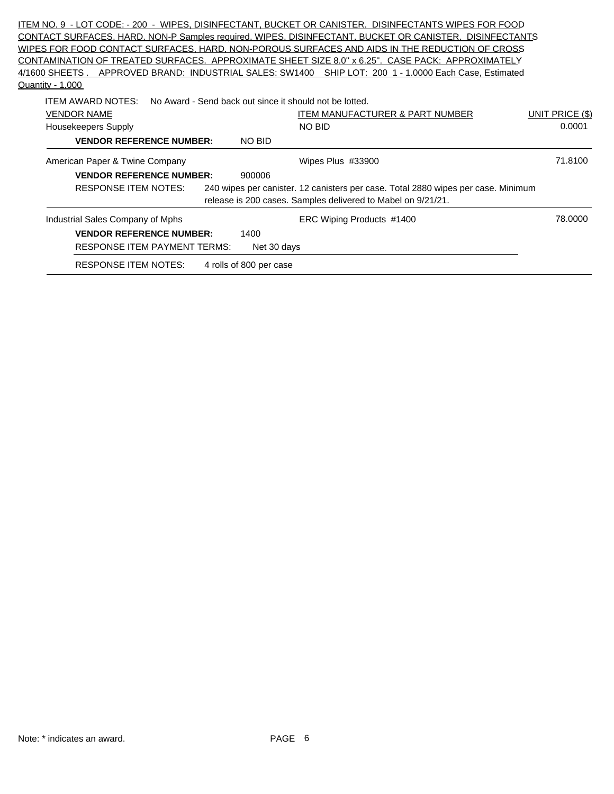|                  |                                     |                         | ITEM NO. 9 -LOT CODE:-200 - WIPES, DISINFECTANT, BUCKET OR CANISTER. DISINFECTANTS WIPES FOR FOOD      |                        |
|------------------|-------------------------------------|-------------------------|--------------------------------------------------------------------------------------------------------|------------------------|
|                  |                                     |                         | CONTACT SURFACES, HARD, NON-P Samples required. WIPES, DISINFECTANT, BUCKET OR CANISTER. DISINFECTANTS |                        |
|                  |                                     |                         | WIPES FOR FOOD CONTACT SURFACES, HARD, NON-POROUS SURFACES AND AIDS IN THE REDUCTION OF CROSS          |                        |
|                  |                                     |                         | CONTAMINATION OF TREATED SURFACES. APPROXIMATE SHEET SIZE 8.0" x 6.25". CASE PACK: APPROXIMATELY       |                        |
|                  |                                     |                         | 4/1600 SHEETS. APPROVED BRAND: INDUSTRIAL SALES: SW1400 SHIP LOT: 200 1 - 1.0000 Each Case, Estimated  |                        |
| Quantity - 1,000 |                                     |                         |                                                                                                        |                        |
|                  | ITEM AWARD NOTES:                   |                         | No Award - Send back out since it should not be lotted.                                                |                        |
|                  | <b>VENDOR NAME</b>                  |                         | ITEM MANUFACTURER & PART NUMBER                                                                        | <b>UNIT PRICE (\$)</b> |
|                  | Housekeepers Supply                 |                         | NO BID                                                                                                 | 0.0001                 |
|                  | <b>VENDOR REFERENCE NUMBER:</b>     | NO BID                  |                                                                                                        |                        |
|                  | American Paper & Twine Company      |                         | Wipes Plus #33900                                                                                      | 71.8100                |
|                  | <b>VENDOR REFERENCE NUMBER:</b>     | 900006                  |                                                                                                        |                        |
|                  | <b>RESPONSE ITEM NOTES:</b>         |                         | 240 wipes per canister. 12 canisters per case. Total 2880 wipes per case. Minimum                      |                        |
|                  |                                     |                         | release is 200 cases. Samples delivered to Mabel on 9/21/21.                                           |                        |
|                  | Industrial Sales Company of Mphs    |                         | ERC Wiping Products #1400                                                                              | 78.0000                |
|                  | <b>VENDOR REFERENCE NUMBER:</b>     | 1400                    |                                                                                                        |                        |
|                  | <b>RESPONSE ITEM PAYMENT TERMS:</b> | Net 30 days             |                                                                                                        |                        |
|                  | <b>RESPONSE ITEM NOTES:</b>         | 4 rolls of 800 per case |                                                                                                        |                        |
|                  |                                     |                         |                                                                                                        |                        |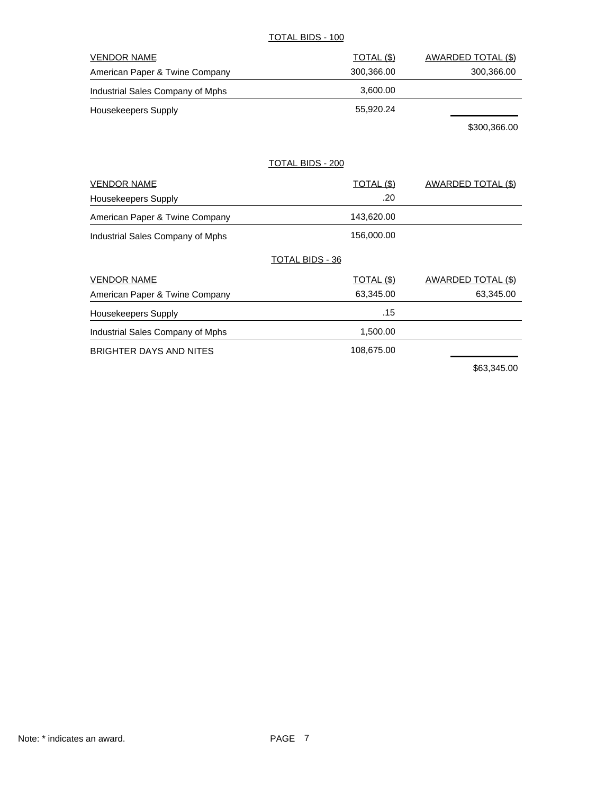#### TOTAL BIDS - 100

| <b>VENDOR NAME</b>               | TOTAL (\$) | AWARDED TOTAL (\$) |
|----------------------------------|------------|--------------------|
| American Paper & Twine Company   | 300.366.00 | 300,366.00         |
| Industrial Sales Company of Mphs | 3.600.00   |                    |
| Housekeepers Supply              | 55,920.24  |                    |
|                                  |            | .                  |

\$300,366.00

#### TOTAL BIDS - 200

| <b>VENDOR NAME</b>               | <b>TOTAL (\$)</b>      | AWARDED TOTAL (\$) |
|----------------------------------|------------------------|--------------------|
| Housekeepers Supply              | .20                    |                    |
| American Paper & Twine Company   | 143,620.00             |                    |
| Industrial Sales Company of Mphs | 156,000.00             |                    |
|                                  | <b>TOTAL BIDS - 36</b> |                    |
| <b>VENDOR NAME</b>               | TOTAL (\$)             | AWARDED TOTAL (\$) |
| American Paper & Twine Company   | 63,345.00              | 63,345.00          |
| <b>Housekeepers Supply</b>       | .15                    |                    |
| Industrial Sales Company of Mphs | 1,500.00               |                    |
| BRIGHTER DAYS AND NITES          | 108,675.00             |                    |
|                                  |                        | *** * * * * *      |

\$63,345.00